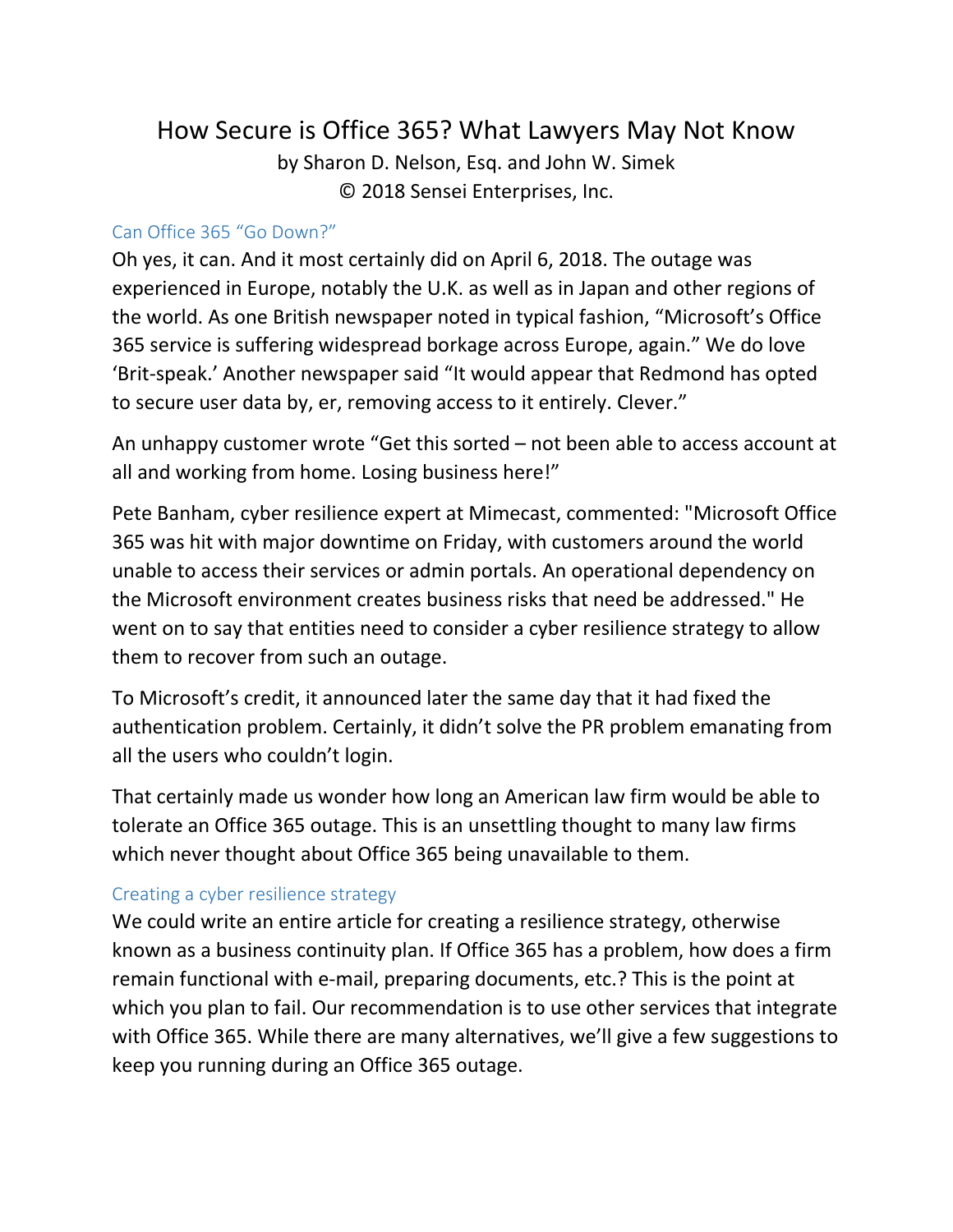# How Secure is Office 365? What Lawyers May Not Know

by Sharon D. Nelson, Esq. and John W. Simek © 2018 Sensei Enterprises, Inc.

#### Can Office 365 "Go Down?"

Oh yes, it can. And it most certainly did on April 6, 2018. The outage was experienced in Europe, notably the U.K. as well as in Japan and other regions of the world. As one British newspaper noted in typical fashion, "Microsoft's Office 365 service is suffering widespread borkage across Europe, again." We do love 'Brit-speak.' Another newspaper said "It would appear that Redmond has opted to secure user data by, er, removing access to it entirely. Clever."

An unhappy customer wrote "Get this sorted – not been able to access account at all and working from home. Losing business here!"

Pete Banham, cyber resilience expert at Mimecast, commented: "Microsoft Office 365 was hit with major downtime on Friday, with customers around the world unable to access their services or admin portals. An operational dependency on the Microsoft environment creates business risks that need be addressed." He went on to say that entities need to consider a cyber resilience strategy to allow them to recover from such an outage.

To Microsoft's credit, it announced later the same day that it had fixed the authentication problem. Certainly, it didn't solve the PR problem emanating from all the users who couldn't login.

That certainly made us wonder how long an American law firm would be able to tolerate an Office 365 outage. This is an unsettling thought to many law firms which never thought about Office 365 being unavailable to them.

### Creating a cyber resilience strategy

We could write an entire article for creating a resilience strategy, otherwise known as a business continuity plan. If Office 365 has a problem, how does a firm remain functional with e-mail, preparing documents, etc.? This is the point at which you plan to fail. Our recommendation is to use other services that integrate with Office 365. While there are many alternatives, we'll give a few suggestions to keep you running during an Office 365 outage.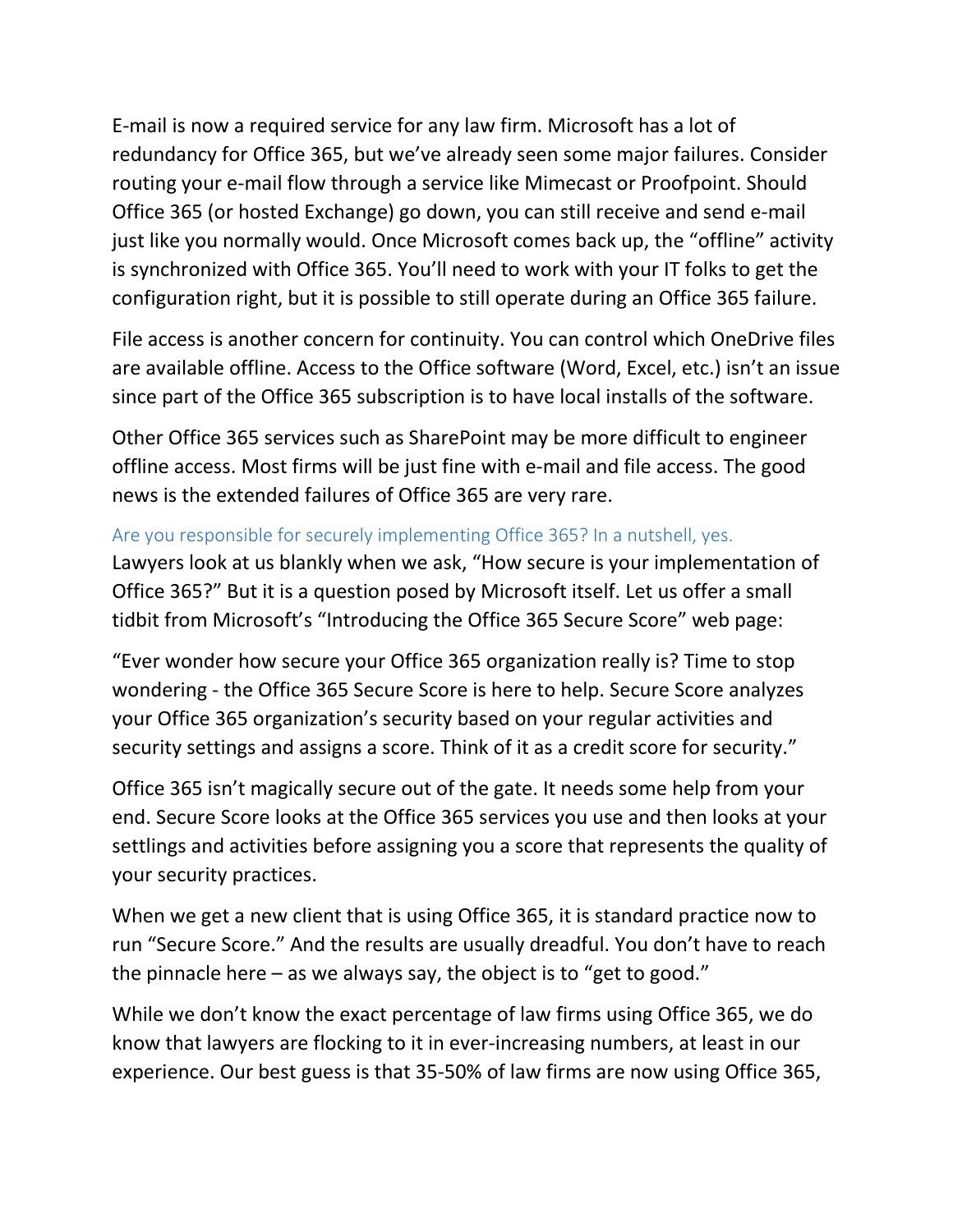E-mail is now a required service for any law firm. Microsoft has a lot of redundancy for Office 365, but we've already seen some major failures. Consider routing your e-mail flow through a service like Mimecast or Proofpoint. Should Office 365 (or hosted Exchange) go down, you can still receive and send e-mail just like you normally would. Once Microsoft comes back up, the "offline" activity is synchronized with Office 365. You'll need to work with your IT folks to get the configuration right, but it is possible to still operate during an Office 365 failure.

File access is another concern for continuity. You can control which OneDrive files are available offline. Access to the Office software (Word, Excel, etc.) isn't an issue since part of the Office 365 subscription is to have local installs of the software.

Other Office 365 services such as SharePoint may be more difficult to engineer offline access. Most firms will be just fine with e-mail and file access. The good news is the extended failures of Office 365 are very rare.

### Are you responsible for securely implementing Office 365? In a nutshell, yes.

Lawyers look at us blankly when we ask, "How secure is your implementation of Office 365?" But it is a question posed by Microsoft itself. Let us offer a small tidbit from Microsoft's "Introducing the Office 365 Secure Score" web page:

"Ever wonder how secure your Office 365 organization really is? Time to stop wondering - the Office 365 Secure Score is here to help. Secure Score analyzes your Office 365 organization's security based on your regular activities and security settings and assigns a score. Think of it as a credit score for security."

Office 365 isn't magically secure out of the gate. It needs some help from your end. Secure Score looks at the Office 365 services you use and then looks at your settlings and activities before assigning you a score that represents the quality of your security practices.

When we get a new client that is using Office 365, it is standard practice now to run "Secure Score." And the results are usually dreadful. You don't have to reach the pinnacle here  $-$  as we always say, the object is to "get to good."

While we don't know the exact percentage of law firms using Office 365, we do know that lawyers are flocking to it in ever-increasing numbers, at least in our experience. Our best guess is that 35-50% of law firms are now using Office 365,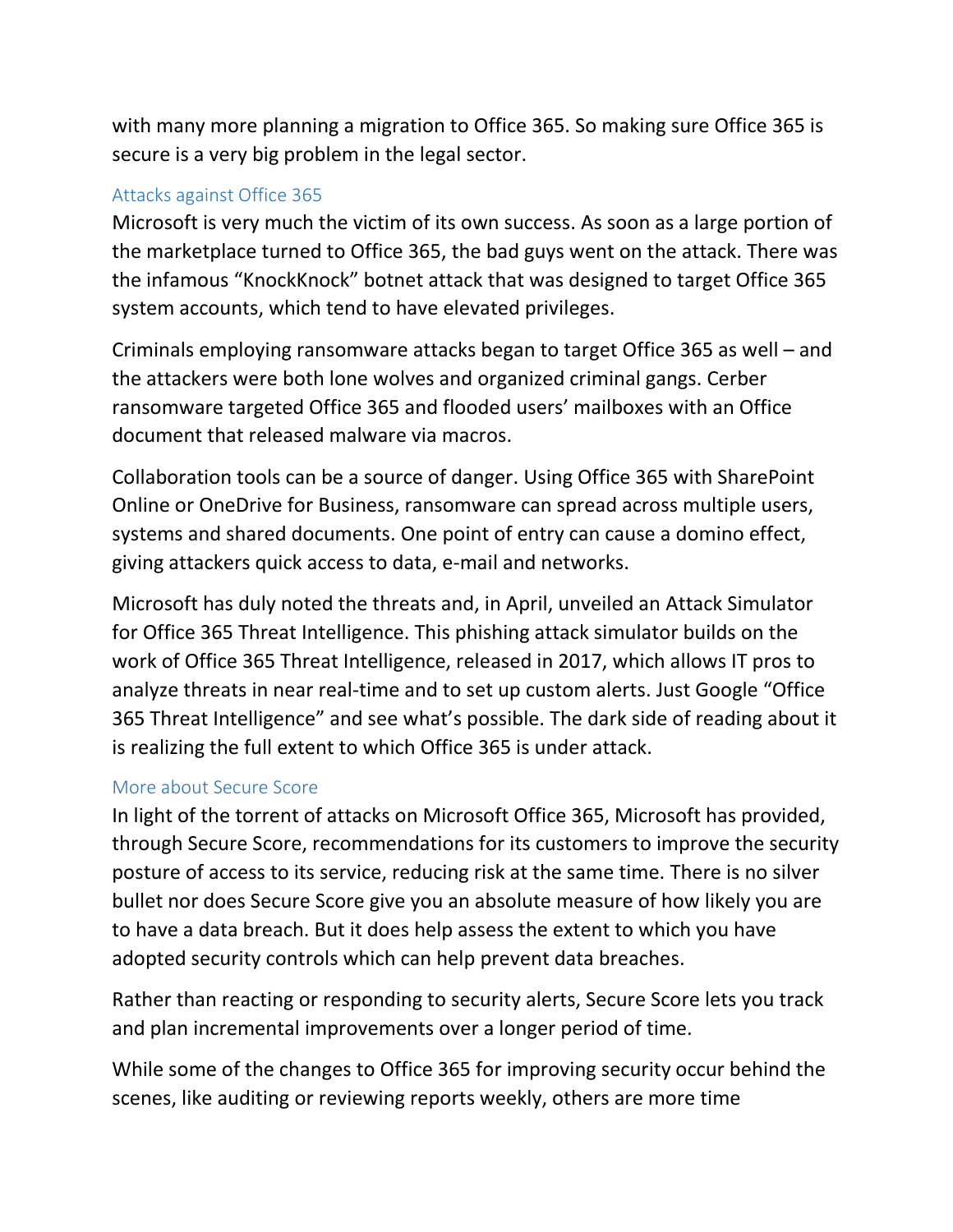with many more planning a migration to Office 365. So making sure Office 365 is secure is a very big problem in the legal sector.

### Attacks against Office 365

Microsoft is very much the victim of its own success. As soon as a large portion of the marketplace turned to Office 365, the bad guys went on the attack. There was the infamous "KnockKnock" botnet attack that was designed to target Office 365 system accounts, which tend to have elevated privileges.

Criminals employing ransomware attacks began to target Office 365 as well – and the attackers were both lone wolves and organized criminal gangs. Cerber ransomware targeted Office 365 and flooded users' mailboxes with an Office document that released malware via macros.

Collaboration tools can be a source of danger. Using Office 365 with SharePoint Online or OneDrive for Business, ransomware can spread across multiple users, systems and shared documents. One point of entry can cause a domino effect, giving attackers quick access to data, e-mail and networks.

Microsoft has duly noted the threats and, in April, unveiled an Attack Simulator for Office 365 Threat Intelligence. This phishing attack simulator builds on the work of Office 365 Threat Intelligence, released in 2017, which allows IT pros to analyze threats in near real-time and to set up custom alerts. Just Google "Office 365 Threat Intelligence" and see what's possible. The dark side of reading about it is realizing the full extent to which Office 365 is under attack.

### More about Secure Score

In light of the torrent of attacks on Microsoft Office 365, Microsoft has provided, through Secure Score, recommendations for its customers to improve the security posture of access to its service, reducing risk at the same time. There is no silver bullet nor does Secure Score give you an absolute measure of how likely you are to have a data breach. But it does help assess the extent to which you have adopted security controls which can help prevent data breaches.

Rather than reacting or responding to security alerts, Secure Score lets you track and plan incremental improvements over a longer period of time.

While some of the changes to Office 365 for improving security occur behind the scenes, like auditing or reviewing reports weekly, others are more time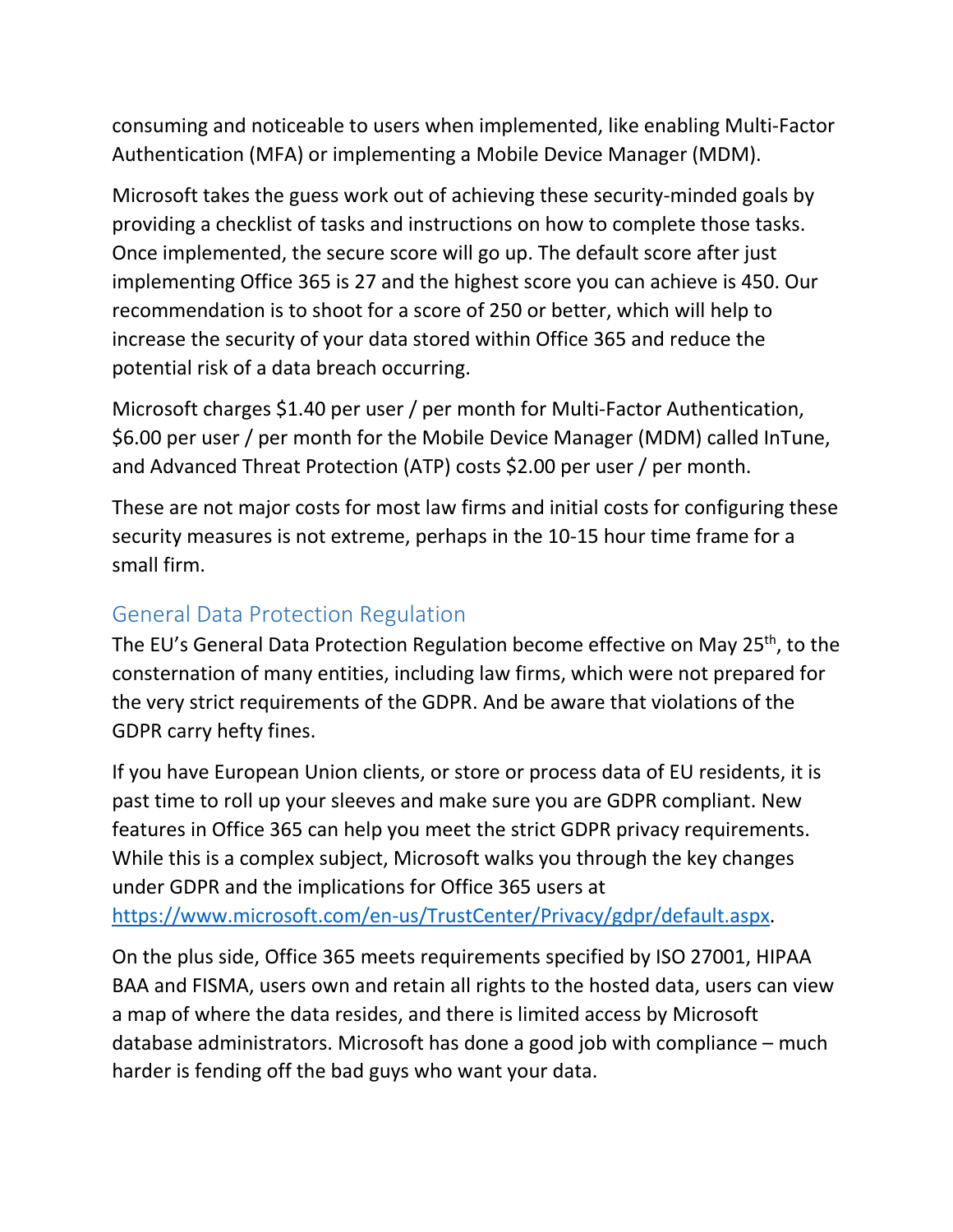consuming and noticeable to users when implemented, like enabling Multi-Factor Authentication (MFA) or implementing a Mobile Device Manager (MDM).

Microsoft takes the guess work out of achieving these security-minded goals by providing a checklist of tasks and instructions on how to complete those tasks. Once implemented, the secure score will go up. The default score after just implementing Office 365 is 27 and the highest score you can achieve is 450. Our recommendation is to shoot for a score of 250 or better, which will help to increase the security of your data stored within Office 365 and reduce the potential risk of a data breach occurring.

Microsoft charges \$1.40 per user / per month for Multi-Factor Authentication, \$6.00 per user / per month for the Mobile Device Manager (MDM) called InTune, and Advanced Threat Protection (ATP) costs \$2.00 per user / per month.

These are not major costs for most law firms and initial costs for configuring these security measures is not extreme, perhaps in the 10-15 hour time frame for a small firm.

## General Data Protection Regulation

The EU's General Data Protection Regulation become effective on May 25<sup>th</sup>, to the consternation of many entities, including law firms, which were not prepared for the very strict requirements of the GDPR. And be aware that violations of the GDPR carry hefty fines.

If you have European Union clients, or store or process data of EU residents, it is past time to roll up your sleeves and make sure you are GDPR compliant. New features in Office 365 can help you meet the strict GDPR privacy requirements. While this is a complex subject, Microsoft walks you through the key changes under GDPR and the implications for Office 365 users at

[https://www.microsoft.com/en-us/TrustCenter/Privacy/gdpr/default.aspx.](https://www.microsoft.com/en-us/TrustCenter/Privacy/gdpr/default.aspx)

On the plus side, Office 365 meets requirements specified by ISO 27001, HIPAA BAA and FISMA, users own and retain all rights to the hosted data, users can view a map of where the data resides, and there is limited access by Microsoft database administrators. Microsoft has done a good job with compliance – much harder is fending off the bad guys who want your data.